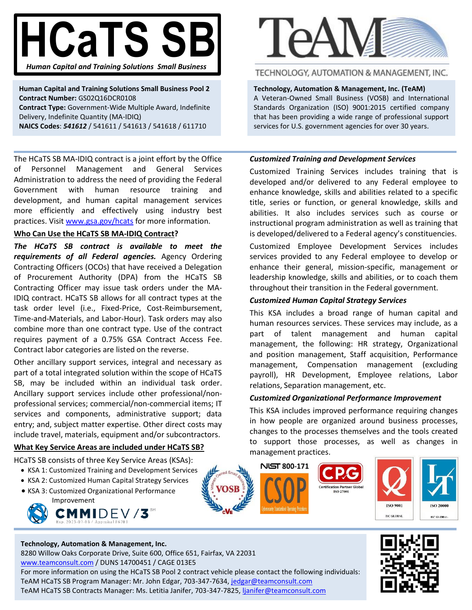# **HCaTS SB** *Human Capital and Training Solutions Small Business*

**Human Capital and Training Solutions Small Business Pool 2 Contract Number:** GS02Q16DCR0108 **Contract Type:** Government-Wide Multiple Award, Indefinite Delivery, Indefinite Quantity (MA-IDIQ) **NAICS Codes**: *541612* / 541611 / 541613 / 541618 / 611710

The HCaTS SB MA-IDIQ contract is a joint effort by the Office of Personnel Management and General Services Administration to address the need of providing the Federal Government with human resource training and development, and human capital management services more efficiently and effectively using industry best practices. Visit [www.gsa.gov/hcats](http://www.gsa.gov/hcats) for more information.

#### **Who Can Use the HCaTS SB MA-IDIQ Contract?**

*The HCaTS SB contract is available to meet the requirements of all Federal agencies.* Agency Ordering Contracting Officers (OCOs) that have received a Delegation of Procurement Authority (DPA) from the HCaTS SB Contracting Officer may issue task orders under the MA-IDIQ contract. HCaTS SB allows for all contract types at the task order level (i.e., Fixed-Price, Cost-Reimbursement, Time-and-Materials, and Labor-Hour). Task orders may also combine more than one contract type. Use of the contract requires payment of a 0.75% GSA Contract Access Fee. Contract labor categories are listed on the reverse.

Other ancillary support services, integral and necessary as part of a total integrated solution within the scope of HCaTS SB, may be included within an individual task order. Ancillary support services include other professional/nonprofessional services; commercial/non-commercial items; IT services and components, administrative support; data entry; and, subject matter expertise. Other direct costs may include travel, materials, equipment and/or subcontractors.

## **What Key Service Areas are included under HCaTS SB?**

HCaTS SB consists of three Key Service Areas (KSAs):

- KSA 1: Customized Training and Development Services
- KSA 2: Customized Human Capital Strategy Services
- KSA 3: Customized Organizational Performance Improvement



#### **Technology, Automation & Management, Inc.**

8280 Willow Oaks Corporate Drive, Suite 600, Office 651, Fairfax, VA 22031 [www.teamconsult.com](http://www.teamconsult.com/) / DUNS 14700451 / CAGE 013E5 For more information on using the HCaTS SB Pool 2 contract vehicle please contact the following individuals: TeAM HCaTS SB Program Manager: Mr. John Edgar, 703-347-7634, [jedgar@teamconsult.com](mailto:jedgar@teamconsult.com) TeAM HCaTS SB Contracts Manager: Ms. Letitia Janifer, 703-347-7825[, ljanifer@teamconsult.com](mailto:ljanifer@teamconsult.com)



# TECHNOLOGY, AUTOMATION & MANAGEMENT, INC.

**Technology, Automation & Management, Inc. (TeAM)** A Veteran-Owned Small Business (VOSB) and International Standards Organization (ISO) 9001:2015 certified company that has been providing a wide range of professional support services for U.S. government agencies for over 30 years.

#### *Customized Training and Development Services*

Customized Training Services includes training that is developed and/or delivered to any Federal employee to enhance knowledge, skills and abilities related to a specific title, series or function, or general knowledge, skills and abilities. It also includes services such as course or instructional program administration as well as training that is developed/delivered to a Federal agency's constituencies.

Customized Employee Development Services includes services provided to any Federal employee to develop or enhance their general, mission-specific, management or leadership knowledge, skills and abilities, or to coach them throughout their transition in the Federal government.

#### *Customized Human Capital Strategy Services*

This KSA includes a broad range of human capital and human resources services. These services may include, as a part of talent management and human capital management, the following: HR strategy, Organizational and position management, Staff acquisition, Performance management, Compensation management (excluding payroll), HR Development, Employee relations, Labor relations, Separation management, etc.

#### *Customized Organizational Performance Improvement*

This KSA includes improved performance requiring changes in how people are organized around business processes, changes to the processes themselves and the tools created to support those processes, as well as changes in management practices.